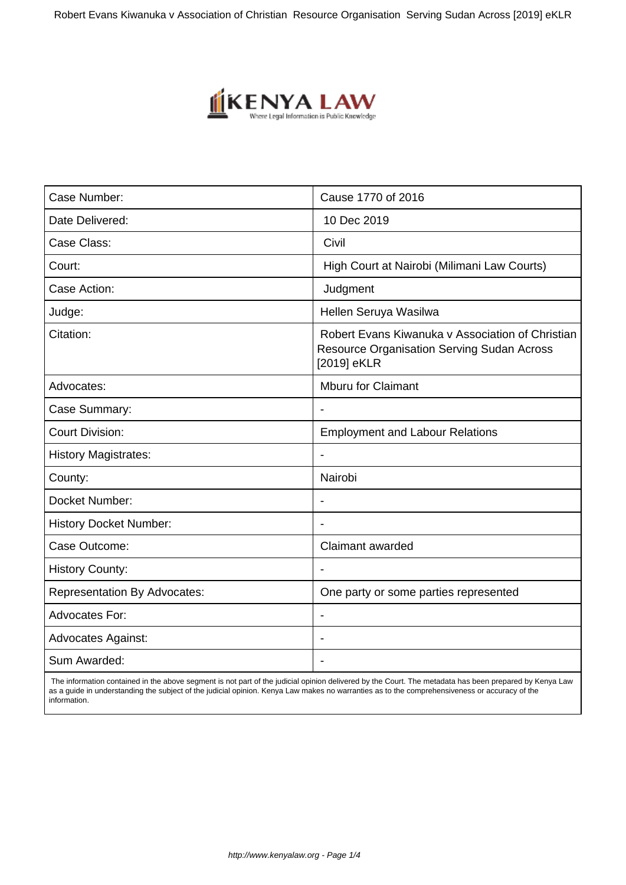

| Case Number:                        | Cause 1770 of 2016                                                                                                   |
|-------------------------------------|----------------------------------------------------------------------------------------------------------------------|
| Date Delivered:                     | 10 Dec 2019                                                                                                          |
| Case Class:                         | Civil                                                                                                                |
| Court:                              | High Court at Nairobi (Milimani Law Courts)                                                                          |
| Case Action:                        | Judgment                                                                                                             |
| Judge:                              | Hellen Seruya Wasilwa                                                                                                |
| Citation:                           | Robert Evans Kiwanuka v Association of Christian<br><b>Resource Organisation Serving Sudan Across</b><br>[2019] eKLR |
| Advocates:                          | Mburu for Claimant                                                                                                   |
| Case Summary:                       | $\overline{\phantom{a}}$                                                                                             |
| <b>Court Division:</b>              | <b>Employment and Labour Relations</b>                                                                               |
| <b>History Magistrates:</b>         |                                                                                                                      |
| County:                             | Nairobi                                                                                                              |
| Docket Number:                      | $\overline{\phantom{a}}$                                                                                             |
| <b>History Docket Number:</b>       |                                                                                                                      |
| Case Outcome:                       | Claimant awarded                                                                                                     |
| <b>History County:</b>              |                                                                                                                      |
| <b>Representation By Advocates:</b> | One party or some parties represented                                                                                |
| <b>Advocates For:</b>               |                                                                                                                      |
| <b>Advocates Against:</b>           |                                                                                                                      |
| Sum Awarded:                        |                                                                                                                      |
|                                     |                                                                                                                      |

 The information contained in the above segment is not part of the judicial opinion delivered by the Court. The metadata has been prepared by Kenya Law as a guide in understanding the subject of the judicial opinion. Kenya Law makes no warranties as to the comprehensiveness or accuracy of the information.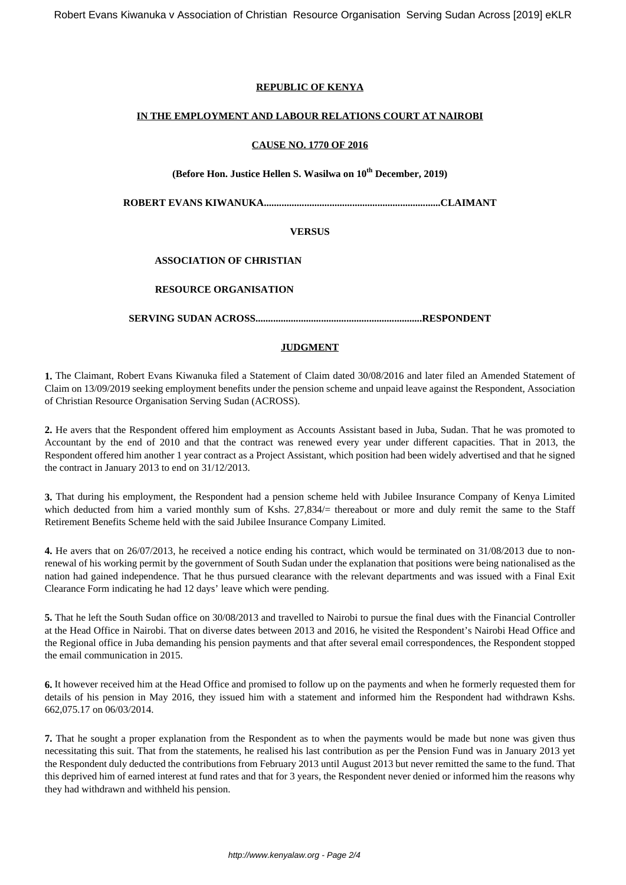# **REPUBLIC OF KENYA**

# **IN THE EMPLOYMENT AND LABOUR RELATIONS COURT AT NAIROBI**

# **CAUSE NO. 1770 OF 2016**

# **(Before Hon. Justice Hellen S. Wasilwa on 10th December, 2019)**

**ROBERT EVANS KIWANUKA......................................................................CLAIMANT**

# **VERSUS**

# **ASSOCIATION OF CHRISTIAN**

# **RESOURCE ORGANISATION**

**SERVING SUDAN ACROSS..................................................................RESPONDENT**

# **JUDGMENT**

**1.** The Claimant, Robert Evans Kiwanuka filed a Statement of Claim dated 30/08/2016 and later filed an Amended Statement of Claim on 13/09/2019 seeking employment benefits under the pension scheme and unpaid leave against the Respondent, Association of Christian Resource Organisation Serving Sudan (ACROSS).

**2.** He avers that the Respondent offered him employment as Accounts Assistant based in Juba, Sudan. That he was promoted to Accountant by the end of 2010 and that the contract was renewed every year under different capacities. That in 2013, the Respondent offered him another 1 year contract as a Project Assistant, which position had been widely advertised and that he signed the contract in January 2013 to end on 31/12/2013.

**3.** That during his employment, the Respondent had a pension scheme held with Jubilee Insurance Company of Kenya Limited which deducted from him a varied monthly sum of Kshs. 27,834/= thereabout or more and duly remit the same to the Staff Retirement Benefits Scheme held with the said Jubilee Insurance Company Limited.

**4.** He avers that on 26/07/2013, he received a notice ending his contract, which would be terminated on 31/08/2013 due to nonrenewal of his working permit by the government of South Sudan under the explanation that positions were being nationalised as the nation had gained independence. That he thus pursued clearance with the relevant departments and was issued with a Final Exit Clearance Form indicating he had 12 days' leave which were pending.

**5.** That he left the South Sudan office on 30/08/2013 and travelled to Nairobi to pursue the final dues with the Financial Controller at the Head Office in Nairobi. That on diverse dates between 2013 and 2016, he visited the Respondent's Nairobi Head Office and the Regional office in Juba demanding his pension payments and that after several email correspondences, the Respondent stopped the email communication in 2015.

**6.** It however received him at the Head Office and promised to follow up on the payments and when he formerly requested them for details of his pension in May 2016, they issued him with a statement and informed him the Respondent had withdrawn Kshs. 662,075.17 on 06/03/2014.

**7.** That he sought a proper explanation from the Respondent as to when the payments would be made but none was given thus necessitating this suit. That from the statements, he realised his last contribution as per the Pension Fund was in January 2013 yet the Respondent duly deducted the contributions from February 2013 until August 2013 but never remitted the same to the fund. That this deprived him of earned interest at fund rates and that for 3 years, the Respondent never denied or informed him the reasons why they had withdrawn and withheld his pension.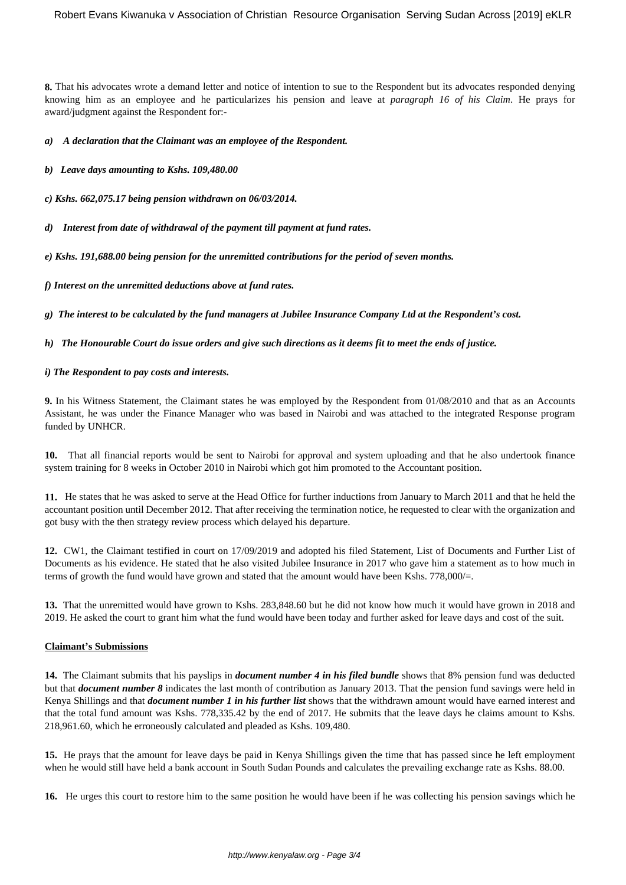**8.** That his advocates wrote a demand letter and notice of intention to sue to the Respondent but its advocates responded denying knowing him as an employee and he particularizes his pension and leave at *paragraph 16 of his Claim*. He prays for award/judgment against the Respondent for:-

*a) A declaration that the Claimant was an employee of the Respondent.*

*b) Leave days amounting to Kshs. 109,480.00*

*c) Kshs. 662,075.17 being pension withdrawn on 06/03/2014.*

*d) Interest from date of withdrawal of the payment till payment at fund rates.*

*e) Kshs. 191,688.00 being pension for the unremitted contributions for the period of seven months.*

*f) Interest on the unremitted deductions above at fund rates.*

*g) The interest to be calculated by the fund managers at Jubilee Insurance Company Ltd at the Respondent's cost.*

*h) The Honourable Court do issue orders and give such directions as it deems fit to meet the ends of justice.*

#### *i) The Respondent to pay costs and interests.*

**9.** In his Witness Statement, the Claimant states he was employed by the Respondent from 01/08/2010 and that as an Accounts Assistant, he was under the Finance Manager who was based in Nairobi and was attached to the integrated Response program funded by UNHCR.

**10.** That all financial reports would be sent to Nairobi for approval and system uploading and that he also undertook finance system training for 8 weeks in October 2010 in Nairobi which got him promoted to the Accountant position.

**11.** He states that he was asked to serve at the Head Office for further inductions from January to March 2011 and that he held the accountant position until December 2012. That after receiving the termination notice, he requested to clear with the organization and got busy with the then strategy review process which delayed his departure.

**12.** CW1, the Claimant testified in court on 17/09/2019 and adopted his filed Statement, List of Documents and Further List of Documents as his evidence. He stated that he also visited Jubilee Insurance in 2017 who gave him a statement as to how much in terms of growth the fund would have grown and stated that the amount would have been Kshs. 778,000/=.

**13.** That the unremitted would have grown to Kshs. 283,848.60 but he did not know how much it would have grown in 2018 and 2019. He asked the court to grant him what the fund would have been today and further asked for leave days and cost of the suit.

# **Claimant's Submissions**

**14.** The Claimant submits that his payslips in *document number 4 in his filed bundle* shows that 8% pension fund was deducted but that *document number 8* indicates the last month of contribution as January 2013. That the pension fund savings were held in Kenya Shillings and that *document number 1 in his further list* shows that the withdrawn amount would have earned interest and that the total fund amount was Kshs. 778,335.42 by the end of 2017. He submits that the leave days he claims amount to Kshs. 218,961.60, which he erroneously calculated and pleaded as Kshs. 109,480.

**15.** He prays that the amount for leave days be paid in Kenya Shillings given the time that has passed since he left employment when he would still have held a bank account in South Sudan Pounds and calculates the prevailing exchange rate as Kshs. 88.00.

**16.** He urges this court to restore him to the same position he would have been if he was collecting his pension savings which he